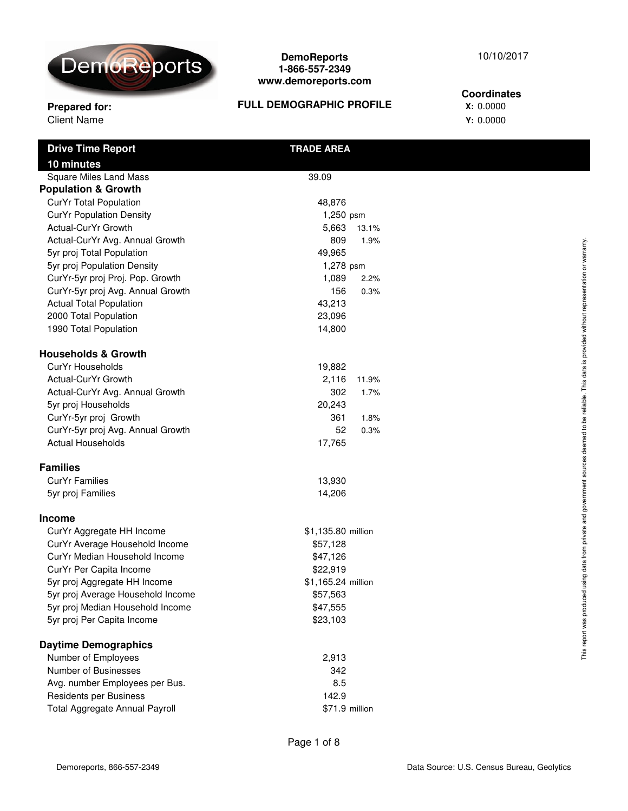

## **Prepared for: X:** 0.0000 **FULL DEMOGRAPHIC PROFILE**

Client Name **Y:** 0.0000 **Coordinates**

| <b>Drive Time Report</b>          | <b>TRADE AREA</b>  |                                                                             |
|-----------------------------------|--------------------|-----------------------------------------------------------------------------|
| 10 minutes                        |                    |                                                                             |
| <b>Square Miles Land Mass</b>     | 39.09              |                                                                             |
| <b>Population &amp; Growth</b>    |                    |                                                                             |
| CurYr Total Population            | 48,876             |                                                                             |
| <b>CurYr Population Density</b>   | 1,250 psm          |                                                                             |
| Actual-CurYr Growth               | 5,663<br>13.1%     |                                                                             |
| Actual-CurYr Avg. Annual Growth   | 809<br>1.9%        |                                                                             |
| 5yr proj Total Population         | 49,965             | or warranty.                                                                |
| 5yr proj Population Density       | 1,278 psm          |                                                                             |
| CurYr-5yr proj Proj. Pop. Growth  | 1,089<br>2.2%      |                                                                             |
| CurYr-5yr proj Avg. Annual Growth | 156<br>0.3%        |                                                                             |
| <b>Actual Total Population</b>    | 43,213             |                                                                             |
| 2000 Total Population             | 23,096             |                                                                             |
| 1990 Total Population             | 14,800             |                                                                             |
| <b>Households &amp; Growth</b>    |                    | sources deemed to be reliable. This data is provided without representation |
| CurYr Households                  | 19,882             |                                                                             |
| Actual-CurYr Growth               | 2,116<br>11.9%     |                                                                             |
| Actual-CurYr Avg. Annual Growth   | 302<br>1.7%        |                                                                             |
| 5yr proj Households               | 20,243             |                                                                             |
| CurYr-5yr proj Growth             | 361<br>1.8%        |                                                                             |
| CurYr-5yr proj Avg. Annual Growth | 52<br>0.3%         |                                                                             |
| <b>Actual Households</b>          | 17,765             |                                                                             |
| <b>Families</b>                   |                    |                                                                             |
| <b>CurYr Families</b>             | 13,930             |                                                                             |
| 5yr proj Families                 | 14,206             |                                                                             |
| <b>Income</b>                     |                    | ed using data from private and government                                   |
| CurYr Aggregate HH Income         | \$1,135.80 million |                                                                             |
| CurYr Average Household Income    | \$57,128           |                                                                             |
| CurYr Median Household Income     | \$47,126           |                                                                             |
| CurYr Per Capita Income           | \$22,919           |                                                                             |
| 5yr proj Aggregate HH Income      | \$1,165.24 million |                                                                             |
| 5yr proj Average Household Income | \$57,563           |                                                                             |
| 5yr proj Median Household Income  | \$47,555           |                                                                             |
| 5yr proj Per Capita Income        | \$23,103           | report was produc                                                           |
| <b>Daytime Demographics</b>       |                    |                                                                             |
| Number of Employees               | 2,913              | This                                                                        |
| Number of Businesses              | 342                |                                                                             |
| Avg. number Employees per Bus.    | 8.5                |                                                                             |
| Residents per Business            | 142.9              |                                                                             |
| Total Aggregate Annual Payroll    | \$71.9 million     |                                                                             |

10/10/2017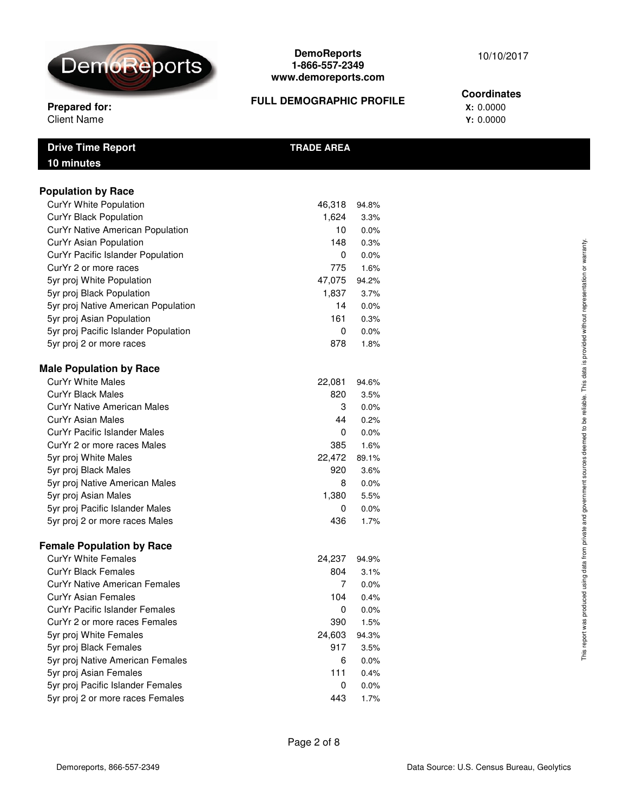

#### **Prepared for: X:** 0.0000 **FULL DEMOGRAPHIC PROFILE**

#### 10/10/2017

#### **Coordinates**

Client Name **Y:** 0.0000

| <b>Population by Race</b><br>CurYr White Population | 46,318   | 94.8% |
|-----------------------------------------------------|----------|-------|
| CurYr Black Population                              | 1,624    |       |
|                                                     | 10       | 3.3%  |
| CurYr Native American Population                    |          | 0.0%  |
| CurYr Asian Population                              | 148      | 0.3%  |
| CurYr Pacific Islander Population                   | $\Omega$ | 0.0%  |
| CurYr 2 or more races                               | 775      | 1.6%  |
| 5yr proj White Population                           | 47,075   | 94.2% |
| 5yr proj Black Population                           | 1,837    | 3.7%  |
| 5yr proj Native American Population                 | 14       | 0.0%  |
| 5yr proj Asian Population                           | 161      | 0.3%  |
| 5yr proj Pacific Islander Population                | 0        | 0.0%  |
| 5yr proj 2 or more races                            | 878      | 1.8%  |
| <b>Male Population by Race</b>                      |          |       |
| <b>CurYr White Males</b>                            | 22,081   | 94.6% |
| <b>CurYr Black Males</b>                            | 820      | 3.5%  |
| CurYr Native American Males                         | 3        | 0.0%  |
| <b>CurYr Asian Males</b>                            | 44       | 0.2%  |
| CurYr Pacific Islander Males                        | 0        | 0.0%  |
| CurYr 2 or more races Males                         | 385      | 1.6%  |
| 5yr proj White Males                                | 22,472   | 89.1% |
|                                                     | 920      | 3.6%  |
| 5yr proj Black Males                                |          | 0.0%  |
| 5yr proj Native American Males                      | 8        |       |
| 5yr proj Asian Males                                | 1,380    | 5.5%  |
| 5yr proj Pacific Islander Males                     | 0        | 0.0%  |

**Drive Time Report TRADE AREA**

## **Female Population by Race**

| <b>CurYr White Females</b>        | 24,237 | 94.9% |
|-----------------------------------|--------|-------|
| CurYr Black Females               | 804    | 3.1%  |
| CurYr Native American Females     | 7      | 0.0%  |
| CurYr Asian Females               | 104    | 0.4%  |
| CurYr Pacific Islander Females    | 0      | 0.0%  |
| CurYr 2 or more races Females     | 390    | 1.5%  |
| 5yr proj White Females            | 24,603 | 94.3% |
| 5yr proj Black Females            | 917    | 3.5%  |
| 5yr proj Native American Females  | 6      | 0.0%  |
| 5yr proj Asian Females            | 111    | 0.4%  |
| 5yr proj Pacific Islander Females | 0      | 0.0%  |
| 5yr proj 2 or more races Females  | 443    | 1.7%  |

Page 2 of 8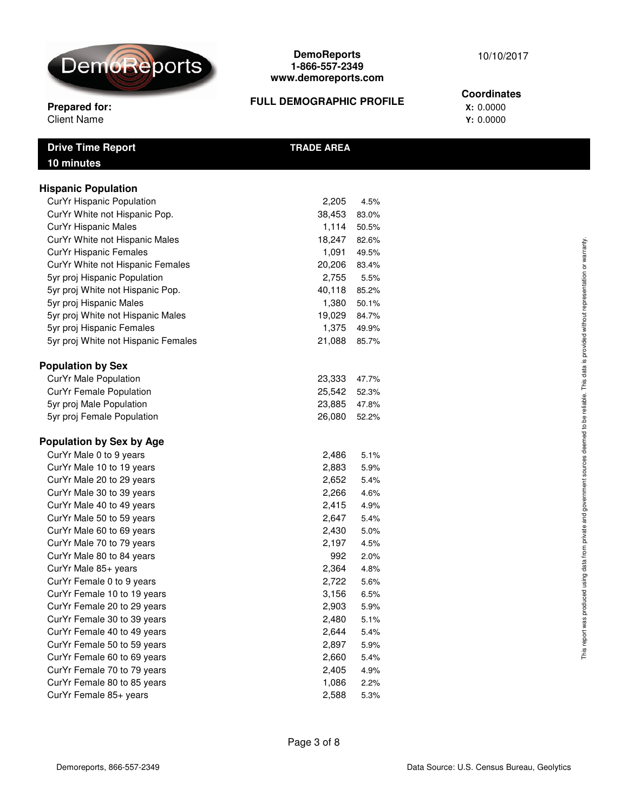

**Drive Time Report TRADE AREA**

#### **DemoReports 1-866-557-2349 www.demoreports.com**

#### **Prepared for: CONSERVISHER TULL DEMOGRAPTIC PROFILE** X: 0.0000 **FULL DEMOGRAPHIC PROFILE**

#### 10/10/2017

#### **Coordinates**

Client Name **Y:** 0.0000

| <b>Hispanic Population</b>          |        |       |
|-------------------------------------|--------|-------|
| CurYr Hispanic Population           | 2,205  | 4.5%  |
| CurYr White not Hispanic Pop.       | 38,453 | 83.0% |
| CurYr Hispanic Males                | 1,114  | 50.5% |
| CurYr White not Hispanic Males      | 18,247 | 82.6% |
| CurYr Hispanic Females              | 1,091  | 49.5% |
| CurYr White not Hispanic Females    | 20,206 | 83.4% |
| 5yr proj Hispanic Population        | 2,755  | 5.5%  |
| 5yr proj White not Hispanic Pop.    | 40,118 | 85.2% |
| 5yr proj Hispanic Males             | 1,380  | 50.1% |
| 5yr proj White not Hispanic Males   | 19,029 | 84.7% |
| 5yr proj Hispanic Females           | 1,375  | 49.9% |
| 5yr proj White not Hispanic Females | 21,088 | 85.7% |
| <b>Population by Sex</b>            |        |       |
| CurYr Male Population               | 23,333 | 47.7% |
| <b>CurYr Female Population</b>      | 25,542 | 52.3% |

### **Population by Sex by Age**

| opulation by Sex by Age     |       |      |
|-----------------------------|-------|------|
| CurYr Male 0 to 9 years     | 2,486 | 5.1% |
| CurYr Male 10 to 19 years   | 2,883 | 5.9% |
| CurYr Male 20 to 29 years   | 2,652 | 5.4% |
| CurYr Male 30 to 39 years   | 2,266 | 4.6% |
| CurYr Male 40 to 49 years   | 2,415 | 4.9% |
| CurYr Male 50 to 59 years   | 2,647 | 5.4% |
| CurYr Male 60 to 69 years   | 2,430 | 5.0% |
| CurYr Male 70 to 79 years   | 2,197 | 4.5% |
| CurYr Male 80 to 84 years   | 992   | 2.0% |
| CurYr Male 85+ years        | 2,364 | 4.8% |
| CurYr Female 0 to 9 years   | 2,722 | 5.6% |
| CurYr Female 10 to 19 years | 3,156 | 6.5% |
| CurYr Female 20 to 29 years | 2,903 | 5.9% |
| CurYr Female 30 to 39 years | 2,480 | 5.1% |
| CurYr Female 40 to 49 years | 2,644 | 5.4% |
| CurYr Female 50 to 59 years | 2,897 | 5.9% |
| CurYr Female 60 to 69 years | 2,660 | 5.4% |
| CurYr Female 70 to 79 years | 2,405 | 4.9% |
| CurYr Female 80 to 85 years | 1,086 | 2.2% |
| CurYr Female 85+ years      | 2,588 | 5.3% |

5yr proj Male Population 23,885 47.8% 5yr proj Female Population 26,080 52.2%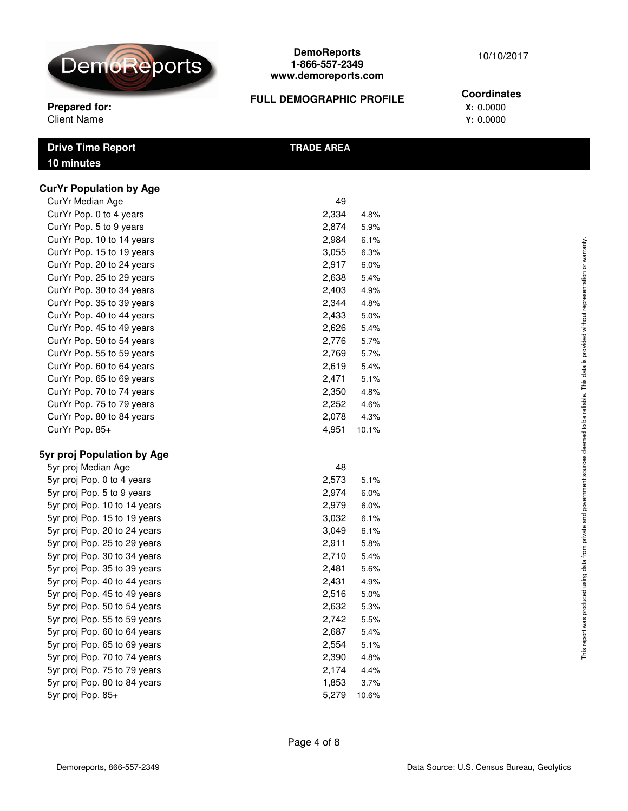

## 10/10/2017

### **FULL DEMOGRAPHIC PROFILE**

# **Coordinates**

**Prepared for: X:** 0.0000 Client Name **Y:** 0.0000

| <b>TRADE AREA</b> |  |
|-------------------|--|
|                   |  |
|                   |  |
|                   |  |
| 49                |  |
|                   |  |

| our i'i moului <i>r</i> iyo  | ᠇୰    |       |
|------------------------------|-------|-------|
| CurYr Pop. 0 to 4 years      | 2,334 | 4.8%  |
| CurYr Pop. 5 to 9 years      | 2,874 | 5.9%  |
| CurYr Pop. 10 to 14 years    | 2,984 | 6.1%  |
| CurYr Pop. 15 to 19 years    | 3,055 | 6.3%  |
| CurYr Pop. 20 to 24 years    | 2,917 | 6.0%  |
| CurYr Pop. 25 to 29 years    | 2,638 | 5.4%  |
| CurYr Pop. 30 to 34 years    | 2,403 | 4.9%  |
| CurYr Pop. 35 to 39 years    | 2,344 | 4.8%  |
| CurYr Pop. 40 to 44 years    | 2,433 | 5.0%  |
| CurYr Pop. 45 to 49 years    | 2,626 | 5.4%  |
| CurYr Pop. 50 to 54 years    | 2,776 | 5.7%  |
| CurYr Pop. 55 to 59 years    | 2,769 | 5.7%  |
| CurYr Pop. 60 to 64 years    | 2,619 | 5.4%  |
| CurYr Pop. 65 to 69 years    | 2,471 | 5.1%  |
| CurYr Pop. 70 to 74 years    | 2,350 | 4.8%  |
| CurYr Pop. 75 to 79 years    | 2,252 | 4.6%  |
| CurYr Pop. 80 to 84 years    | 2,078 | 4.3%  |
| CurYr Pop. 85+               | 4,951 | 10.1% |
| 5yr proj Population by Age   |       |       |
| 5yr proj Median Age          | 48    |       |
| 5yr proj Pop. 0 to 4 years   | 2,573 | 5.1%  |
| 5yr proj Pop. 5 to 9 years   | 2,974 | 6.0%  |
| 5yr proj Pop. 10 to 14 years | 2,979 | 6.0%  |
| 5yr proj Pop. 15 to 19 years | 3,032 | 6.1%  |
| 5yr proj Pop. 20 to 24 years | 3,049 | 6.1%  |
| 5yr proj Pop. 25 to 29 years | 2,911 | 5.8%  |
| 5yr proj Pop. 30 to 34 years | 2,710 | 5.4%  |
| 5yr proj Pop. 35 to 39 years | 2,481 | 5.6%  |
| 5yr proj Pop. 40 to 44 years | 2,431 | 4.9%  |
| 5yr proj Pop. 45 to 49 years | 2,516 | 5.0%  |
| 5yr proj Pop. 50 to 54 years | 2,632 | 5.3%  |
|                              |       |       |

5yr proj Pop. 60 to 64 years 2,687 5.4% 5yr proj Pop. 65 to 69 years 2,554 5.1% 5yr proj Pop. 70 to 74 years 2,390 4.8% 5yr proj Pop. 75 to 79 years 2,174 4.4% 5yr proj Pop. 80 to 84 years 1,853 3.7% 5yr proj Pop. 85+ 5,279 10.6%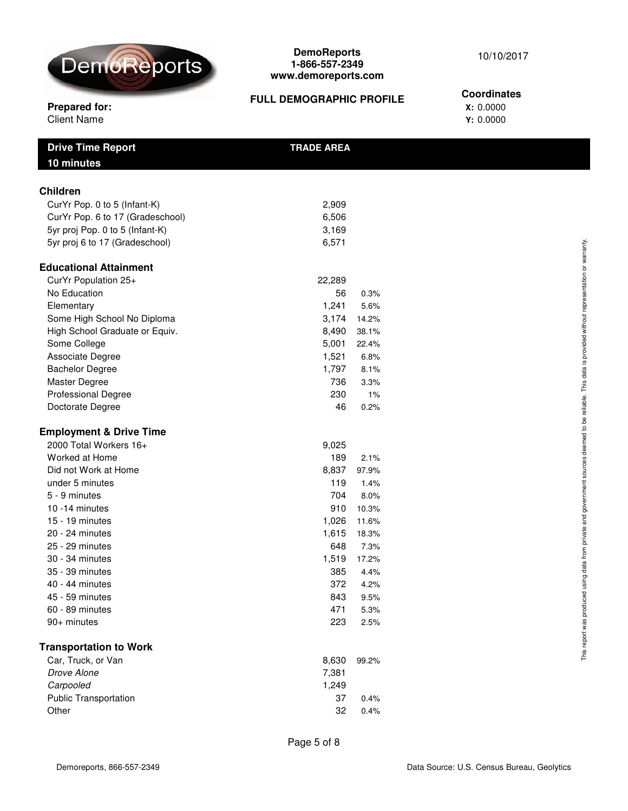

**Coordinates**

## **FULL DEMOGRAPHIC PROFILE**

## **Prepared for:**<br>Client Name **X:** 0.0000<br>X: 0.0000<br>Y: 0.0000 **Client Name**

| <b>Drive Time Report</b><br>10 minutes | <b>TRADE AREA</b> |       |  |
|----------------------------------------|-------------------|-------|--|
| <b>Children</b>                        |                   |       |  |
| CurYr Pop. 0 to 5 (Infant-K)           | 2,909             |       |  |
| CurYr Pop. 6 to 17 (Gradeschool)       | 6,506             |       |  |
| 5yr proj Pop. 0 to 5 (Infant-K)        | 3,169             |       |  |
| 5yr proj 6 to 17 (Gradeschool)         | 6,571             |       |  |
| <b>Educational Attainment</b>          |                   |       |  |
| CurYr Population 25+                   | 22,289            |       |  |
| No Education                           | 56                | 0.3%  |  |
| Elementary                             | 1,241             | 5.6%  |  |
| Some High School No Diploma            | 3,174             | 14.2% |  |
| High School Graduate or Equiv.         | 8,490             | 38.1% |  |
| Some College                           | 5,001             | 22.4% |  |
| Associate Degree                       | 1,521             | 6.8%  |  |
| <b>Bachelor Degree</b>                 | 1,797             | 8.1%  |  |
| Master Degree                          | 736               | 3.3%  |  |
| <b>Professional Degree</b>             | 230               | 1%    |  |
| Doctorate Degree                       | 46                | 0.2%  |  |
| <b>Employment &amp; Drive Time</b>     |                   |       |  |
| 2000 Total Workers 16+                 | 9,025             |       |  |
| Worked at Home                         | 189               | 2.1%  |  |
| Did not Work at Home                   | 8,837             | 97.9% |  |
| under 5 minutes                        | 119               | 1.4%  |  |
| 5 - 9 minutes                          | 704               | 8.0%  |  |
| 10 -14 minutes                         | 910               | 10.3% |  |
| $15 - 19$ minutes                      | 1,026             | 11.6% |  |
| 20 - 24 minutes                        | 1,615             | 18.3% |  |
| 25 - 29 minutes                        | 648               | 7.3%  |  |
| 30 - 34 minutes                        | 1,519             | 17.2% |  |
| 35 - 39 minutes                        | 385               | 4.4%  |  |
| 40 - 44 minutes                        | 372               | 4.2%  |  |
| 45 - 59 minutes                        | 843               | 9.5%  |  |
| 60 - 89 minutes                        | 471               | 5.3%  |  |
| 90+ minutes                            | 223               | 2.5%  |  |
| <b>Transportation to Work</b>          |                   |       |  |
| Car, Truck, or Van                     | 8,630             | 99.2% |  |
| Drove Alone                            | 7,381             |       |  |
| Carpooled                              | 1,249             |       |  |
| <b>Public Transportation</b>           | 37                | 0.4%  |  |
| Other                                  | 32                | 0.4%  |  |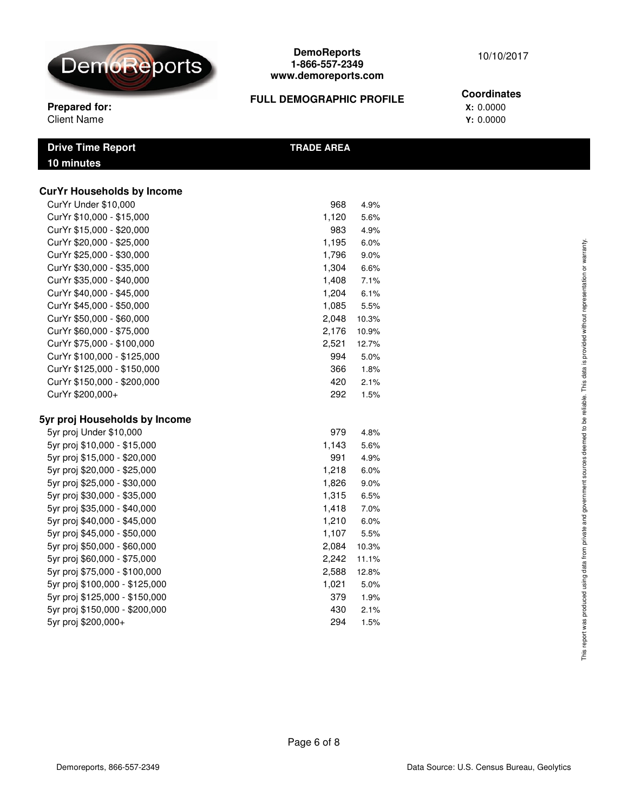

# 10/10/2017

#### **Prepared for:** X: 0.0000 **FULL DEMOGRAPHIC PROFILE**

#### **Coordinates**

Client Name **Y:** 0.0000

| <b>Drive Time Report</b> | <b>TRADE AREA</b> |
|--------------------------|-------------------|
| 10 minutes               |                   |
|                          |                   |

## **CurYr Households by Income** CurYr Under \$10,000 968 4.9% CurYr \$10,000 - \$15,000 1,120 5.6% CurYr \$15,000 - \$20,000 983 4.9% CurYr \$20,000 - \$25,000 1,195 6.0% CurYr \$25,000 - \$30,000 1,796 9.0% CurYr \$30,000 - \$35,000 1,304 6.6% CurYr \$35,000 - \$40,000 1,408 7.1% CurYr \$40,000 - \$45,000 1,204 6.1% CurYr \$45,000 - \$50,000 1,085 5.5% CurYr \$50,000 - \$60,000 2,048 10.3% CurYr \$60,000 - \$75,000 2,176 10.9% CurYr \$75,000 - \$100,000 2,521 12.7% CurYr \$100,000 - \$125,000 994 5.0% CurYr \$125,000 - \$150,000 366 1.8% CurYr \$150,000 - \$200,000 420 2.1% CurYr \$200,000+ 292 1.5% **5yr proj Households by Income** 5yr proj Under \$10,000 979 4.8% 5yr proj \$10,000 - \$15,000 1,143 5.6% 5yr proj \$15,000 - \$20,000 991 4.9% 5yr proj \$20,000 - \$25,000 1,218 6.0% 5yr proj \$25,000 - \$30,000 1,826 9.0% 5yr proj \$30,000 - \$35,000 1,315 6.5% 5yr proj \$35,000 - \$40,000 1,418 7.0% 5yr proj \$40,000 - \$45,000 1,210 6.0% 5yr proj \$45,000 - \$50,000 1,107 5.5% 5yr proj \$50,000 - \$60,000 2,084 10.3% 5yr proj \$60,000 - \$75,000 2,242 11.1% 5yr proj \$75,000 - \$100,000 2,588 12.8% 5yr proj \$100,000 - \$125,000 1,021 5.0% 5yr proj \$125,000 - \$150,000 379 1.9% 5yr proj \$150,000 - \$200,000 430 2.1% 5yr proj \$200,000+ 294 1.5%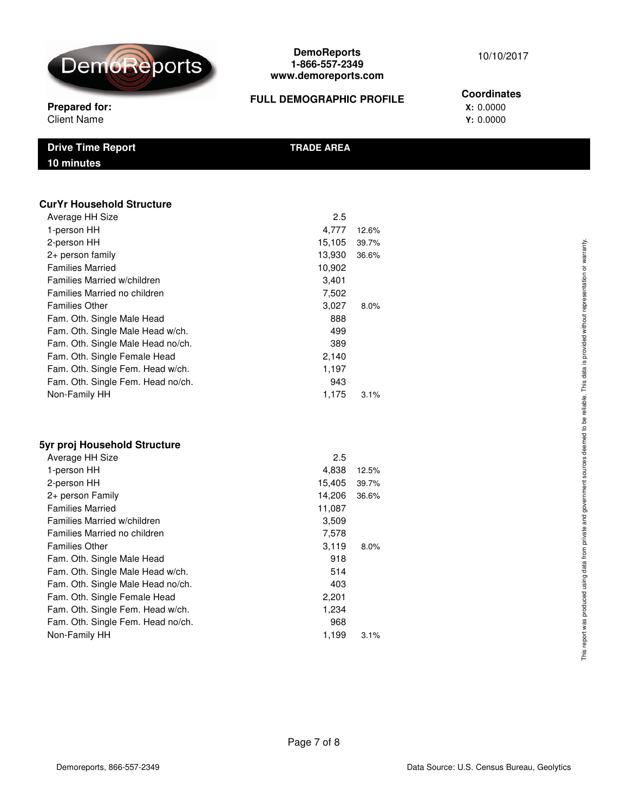

## 10/10/2017

## **FULL DEMOGRAPHIC PROFILE**

## **Coordinates**

**Prepared for:**<br>Client Name X: 0.0000 **Client Name** 

| <b>Drive Time Report</b> | <b>TRADE AREA</b> |
|--------------------------|-------------------|
| <b>10 minutes</b>        |                   |
|                          |                   |

#### **CurYr Household Structure**

| Average HH Size                   | 2.5    |         |
|-----------------------------------|--------|---------|
| 1-person HH                       | 4,777  | 12.6%   |
| 2-person HH                       | 15,105 | 39.7%   |
| 2+ person family                  | 13,930 | 36.6%   |
| <b>Families Married</b>           | 10,902 |         |
| Families Married w/children       | 3,401  |         |
| Families Married no children      | 7,502  |         |
| <b>Families Other</b>             | 3,027  | 8.0%    |
| Fam. Oth. Single Male Head        | 888    |         |
| Fam. Oth. Single Male Head w/ch.  | 499    |         |
| Fam. Oth. Single Male Head no/ch. | 389    |         |
| Fam. Oth. Single Female Head      | 2,140  |         |
| Fam. Oth. Single Fem. Head w/ch.  | 1,197  |         |
| Fam. Oth. Single Fem. Head no/ch. | 943    |         |
| Non-Family HH                     | 1,175  | $3.1\%$ |
|                                   |        |         |

## **5yr proj Household Structure**

| Average HH Size                   | 2.5    |       |
|-----------------------------------|--------|-------|
| 1-person HH                       | 4,838  | 12.5% |
| 2-person HH                       | 15,405 | 39.7% |
| 2+ person Family                  | 14,206 | 36.6% |
| <b>Families Married</b>           | 11,087 |       |
| Families Married w/children       | 3,509  |       |
| Families Married no children      | 7,578  |       |
| <b>Families Other</b>             | 3.119  | 8.0%  |
| Fam. Oth. Single Male Head        | 918    |       |
| Fam. Oth. Single Male Head w/ch.  | 514    |       |
| Fam. Oth. Single Male Head no/ch. | 403    |       |
| Fam. Oth. Single Female Head      | 2,201  |       |
| Fam. Oth. Single Fem. Head w/ch.  | 1,234  |       |
| Fam. Oth. Single Fem. Head no/ch. | 968    |       |
| Non-Family HH                     | 1,199  | 3.1%  |